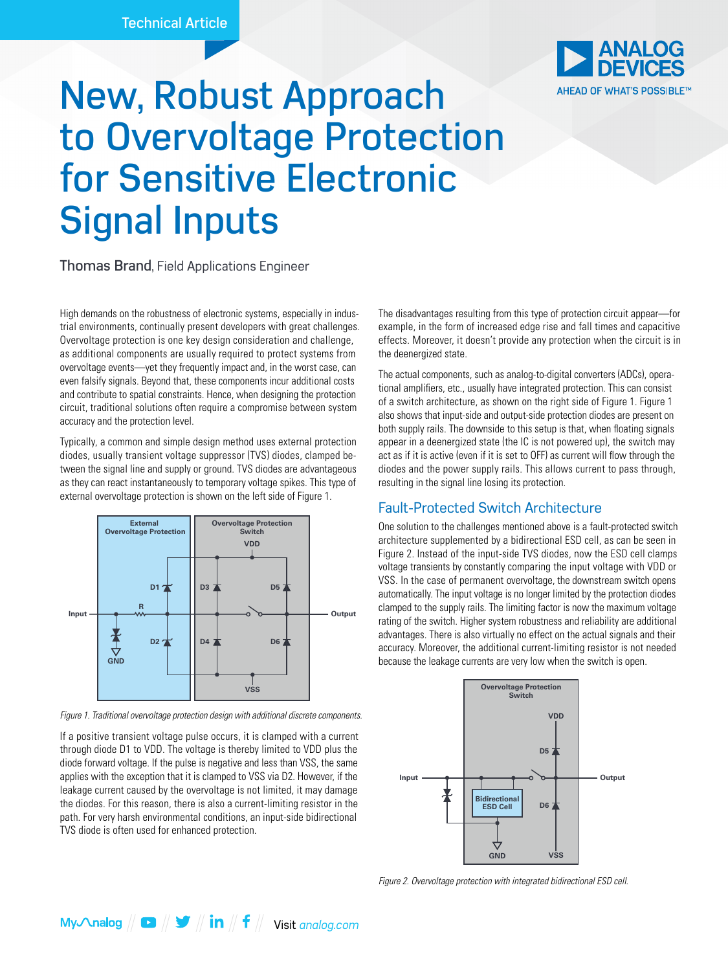

# New, Robust Approach to Overvoltage Protection for Sensitive Electronic Signal Inputs

### Thomas Brand, Field Applications Engineer

High demands on the robustness of electronic systems, especially in industrial environments, continually present developers with great challenges. Overvoltage protection is one key design consideration and challenge, as additional components are usually required to protect systems from overvoltage events—yet they frequently impact and, in the worst case, can even falsify signals. Beyond that, these components incur additional costs and contribute to spatial constraints. Hence, when designing the protection circuit, traditional solutions often require a compromise between system accuracy and the protection level.

Typically, a common and simple design method uses external protection diodes, usually transient voltage suppressor (TVS) diodes, clamped between the signal line and supply or ground. TVS diodes are advantageous as they can react instantaneously to temporary voltage spikes. This type of external overvoltage protection is shown on the left side of Figure 1.



*Figure 1. Traditional overvoltage protection design with additional discrete components.*

If a positive transient voltage pulse occurs, it is clamped with a current through diode D1 to VDD. The voltage is thereby limited to VDD plus the diode forward voltage. If the pulse is negative and less than VSS, the same applies with the exception that it is clamped to VSS via D2. However, if the leakage current caused by the overvoltage is not limited, it may damage the diodes. For this reason, there is also a current-limiting resistor in the path. For very harsh environmental conditions, an input-side bidirectional TVS diode is often used for enhanced protection.

The disadvantages resulting from this type of protection circuit appear—for example, in the form of increased edge rise and fall times and capacitive effects. Moreover, it doesn't provide any protection when the circuit is in the deenergized state.

The actual components, such as analog-to-digital converters (ADCs), operational amplifiers, etc., usually have integrated protection. This can consist of a switch architecture, as shown on the right side of Figure 1. Figure 1 also shows that input-side and output-side protection diodes are present on both supply rails. The downside to this setup is that, when floating signals appear in a deenergized state (the IC is not powered up), the switch may act as if it is active (even if it is set to OFF) as current will flow through the diodes and the power supply rails. This allows current to pass through, resulting in the signal line losing its protection.

### Fault-Protected Switch Architecture

One solution to the challenges mentioned above is a fault-protected switch architecture supplemented by a bidirectional ESD cell, as can be seen in Figure 2. Instead of the input-side TVS diodes, now the ESD cell clamps voltage transients by constantly comparing the input voltage with VDD or VSS. In the case of permanent overvoltage, the downstream switch opens automatically. The input voltage is no longer limited by the protection diodes clamped to the supply rails. The limiting factor is now the maximum voltage rating of the switch. Higher system robustness and reliability are additional advantages. There is also virtually no effect on the actual signals and their accuracy. Moreover, the additional current-limiting resistor is not needed because the leakage currents are very low when the switch is open.



*Figure 2. Overvoltage protection with integrated bidirectional ESD cell.*